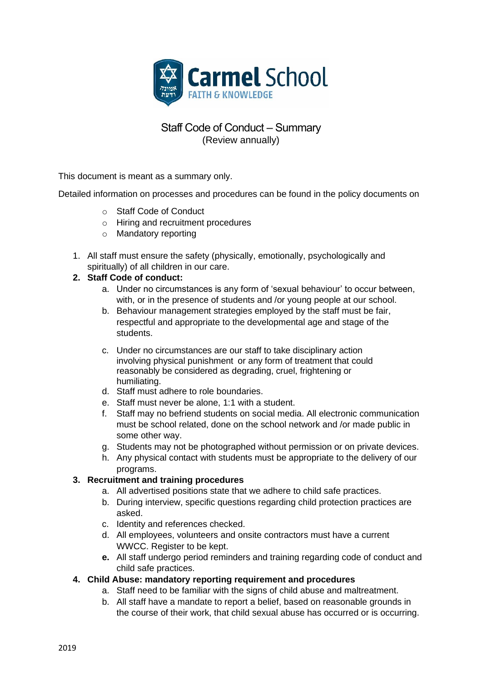

# Staff Code of Conduct – Summary (Review annually)

This document is meant as a summary only.

Detailed information on processes and procedures can be found in the policy documents on

- o Staff Code of Conduct
- o Hiring and recruitment procedures
- o Mandatory reporting
- 1. All staff must ensure the safety (physically, emotionally, psychologically and spiritually) of all children in our care.

### **2. Staff Code of conduct:**

- a. Under no circumstances is any form of 'sexual behaviour' to occur between, with, or in the presence of students and /or young people at our school.
- b. Behaviour management strategies employed by the staff must be fair, respectful and appropriate to the developmental age and stage of the students.
- c. Under no circumstances are our staff to take disciplinary action involving physical punishment or any form of treatment that could reasonably be considered as degrading, cruel, frightening or humiliating.
- d. Staff must adhere to role boundaries.
- e. Staff must never be alone, 1:1 with a student.
- f. Staff may no befriend students on social media. All electronic communication must be school related, done on the school network and /or made public in some other way.
- g. Students may not be photographed without permission or on private devices.
- h. Any physical contact with students must be appropriate to the delivery of our programs.

# **3. Recruitment and training procedures**

- a. All advertised positions state that we adhere to child safe practices.
- b. During interview, specific questions regarding child protection practices are asked.
- c. Identity and references checked.
- d. All employees, volunteers and onsite contractors must have a current WWCC. Register to be kept.
- **e.** All staff undergo period reminders and training regarding code of conduct and child safe practices.

# **4. Child Abuse: mandatory reporting requirement and procedures**

- a. Staff need to be familiar with the signs of child abuse and maltreatment.
- b. All staff have a mandate to report a belief, based on reasonable grounds in the course of their work, that child sexual abuse has occurred or is occurring.